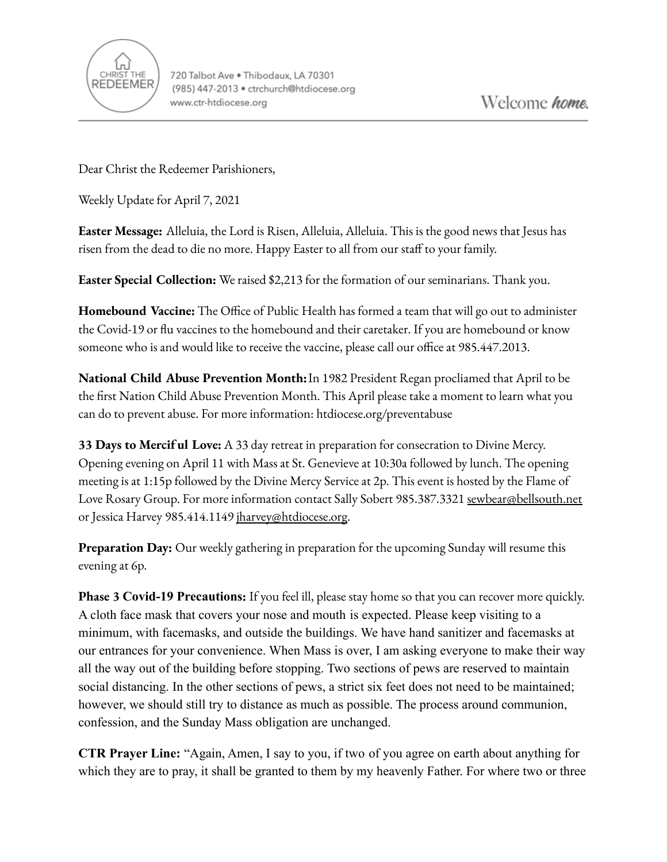

Dear Christ the Redeemer Parishioners,

Weekly Update for April 7, 2021

**Easter Message:** Alleluia, the Lord is Risen, Alleluia, Alleluia. This is the good news that Jesus has risen from the dead to die no more. Happy Easter to all from our staff to your family.

**Easter Special Collection:** We raised \$2,213 for the formation of our seminarians. Thank you.

**Homebound Vaccine:** The Office of Public Health has formed a team that will go out to administer the Covid-19 or flu vaccines to the homebound and their caretaker. If you are homebound or know someone who is and would like to receive the vaccine, please call our office at 985.447.2013.

**National Child Abuse Prevention Month:**In 1982 President Regan procliamed that April to be the first Nation Child Abuse Prevention Month. This April please take a moment to learn what you can do to prevent abuse. For more information: htdiocese.org/preventabuse

**33 Days to Mercif ul Love:** A 33 day retreat in preparation for consecration to Divine Mercy. Opening evening on April 11 with Mass at St. Genevieve at 10:30a followed by lunch. The opening meeting is at 1:15p followed by the Divine Mercy Service at 2p. This event is hosted by the Flame of Love Rosary Group. For more information contact Sally Sobert 985.387.3321 [sewbear@bellsouth.net](mailto:sewbear@bellsouth.net) or Jessica Harvey 985.414.1149 [jharvey@htdiocese.org.](mailto:jharvey@htdiocese.org)

**Preparation Day:** Our weekly gathering in preparation for the upcoming Sunday will resume this evening at 6p.

**Phase 3 Covid-19 Precautions:** If you feel ill, please stay home so that you can recover more quickly. A cloth face mask that covers your nose and mouth is expected. Please keep visiting to a minimum, with facemasks, and outside the buildings. We have hand sanitizer and facemasks at our entrances for your convenience. When Mass is over, I am asking everyone to make their way all the way out of the building before stopping. Two sections of pews are reserved to maintain social distancing. In the other sections of pews, a strict six feet does not need to be maintained; however, we should still try to distance as much as possible. The process around communion, confession, and the Sunday Mass obligation are unchanged.

**CTR Prayer Line:** "Again, Amen, I say to you, if two of you agree on earth about anything for which they are to pray, it shall be granted to them by my heavenly Father. For where two or three